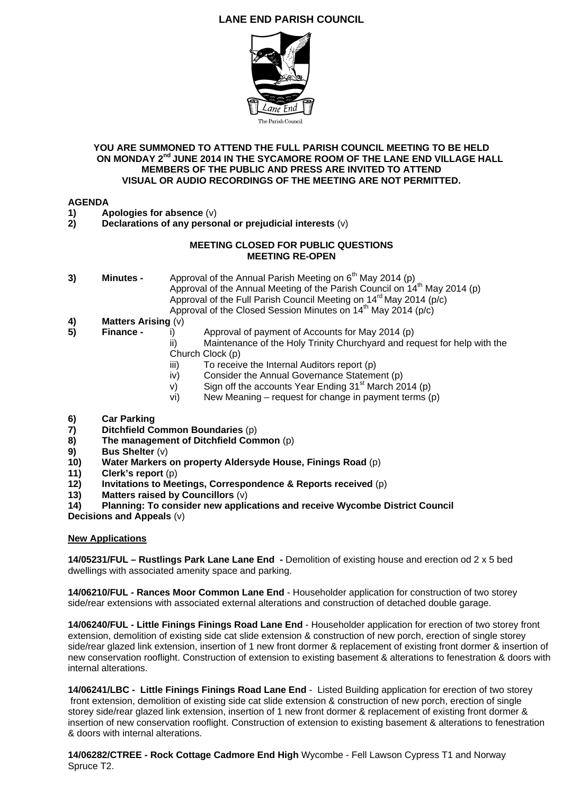# **LANE END PARISH COUNCIL**



### **YOU ARE SUMMONED TO ATTEND THE FULL PARISH COUNCIL MEETING TO BE HELD ON MONDAY 2<sup>nd</sup> JUNE 2014 IN THE SYCAMORE ROOM OF THE LANE END VILLAGE HALL MEMBERS OF THE PUBLIC AND PRESS ARE INVITED TO ATTEND VISUAL OR AUDIO RECORDINGS OF THE MEETING ARE NOT PERMITTED.**

## **AGENDA**

**1)** Apologies for absence (v)<br>**2)** Declarations of any perso

**2) Declarations of any personal or prejudicial interests** (v)

### **MEETING CLOSED FOR PUBLIC QUESTIONS MEETING RE-OPEN**

- **3) Minutes -** Approval of the Annual Parish Meeting on 6<sup>th</sup> May 2014 (p) Approval of the Annual Meeting of the Parish Council on 14<sup>th</sup> May 2014 (p) Approval of the Full Parish Council Meeting on 14<sup>rd</sup> May 2014 (p/c) Approval of the Closed Session Minutes on  $14<sup>th</sup>$  May 2014 (p/c)
- **4)** Matters Arising (v)<br>**5)** Finance i)
- - **Finance -** i) Approval of payment of Accounts for May 2014 (p)
		- ii) Maintenance of the Holy Trinity Churchyard and request for help with the Church Clock (p)
			- iii) To receive the Internal Auditors report (p)
			- iv) Consider the Annual Governance Statement (p)
			- $v$ ) Sign off the accounts Year Ending 31<sup>st</sup> March 2014 (p)
			- vi) New Meaning request for change in payment terms (p)
- **6) Car Parking**
- **7) Ditchfield Common Boundaries** (p)
- **8) The management of Ditchfield Common** (p)
- **9) Bus Shelter** (v)
- **10) Water Markers on property Aldersyde House, Finings Road** (p)
- **11) Clerk's report** (p)
- **12) Invitations to Meetings, Correspondence & Reports received** (p)
- **13) Matters raised by Councillors** (v)
- **14) Planning: To consider new applications and receive Wycombe District Council**

**Decisions and Appeals** (v)

## **New Applications**

**14/05231/FUL – Rustlings Park Lane Lane End -** Demolition of existing house and erection od 2 x 5 bed dwellings with associated amenity space and parking.

**14/06210/FUL - Rances Moor Common Lane End** - Householder application for construction of two storey side/rear extensions with associated external alterations and construction of detached double garage.

**14/06240/FUL - Little Finings Finings Road Lane End** - Householder application for erection of two storey front extension, demolition of existing side cat slide extension & construction of new porch, erection of single storey side/rear glazed link extension, insertion of 1 new front dormer & replacement of existing front dormer & insertion of new conservation rooflight. Construction of extension to existing basement & alterations to fenestration & doors with internal alterations.

**14/06241/LBC - Little Finings Finings Road Lane End** - Listed Building application for erection of two storey front extension, demolition of existing side cat slide extension & construction of new porch, erection of single storey side/rear glazed link extension, insertion of 1 new front dormer & replacement of existing front dormer & insertion of new conservation rooflight. Construction of extension to existing basement & alterations to fenestration & doors with internal alterations.

**14/06282/CTREE - Rock Cottage Cadmore End High** Wycombe - Fell Lawson Cypress T1 and Norway Spruce T2.